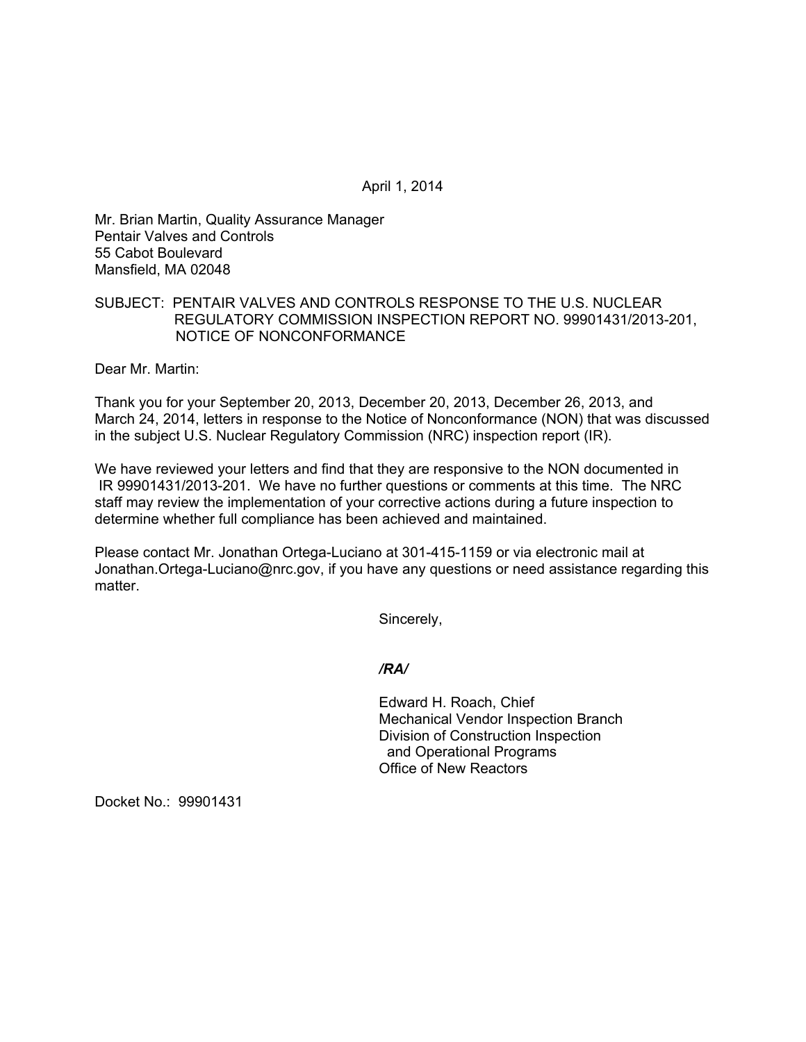April 1, 2014

Mr. Brian Martin, Quality Assurance Manager Pentair Valves and Controls 55 Cabot Boulevard Mansfield, MA 02048

### SUBJECT: PENTAIR VALVES AND CONTROLS RESPONSE TO THE U.S. NUCLEAR REGULATORY COMMISSION INSPECTION REPORT NO. 99901431/2013-201, NOTICE OF NONCONFORMANCE

Dear Mr. Martin:

Thank you for your September 20, 2013, December 20, 2013, December 26, 2013, and March 24, 2014, letters in response to the Notice of Nonconformance (NON) that was discussed in the subject U.S. Nuclear Regulatory Commission (NRC) inspection report (IR).

We have reviewed your letters and find that they are responsive to the NON documented in IR 99901431/2013-201. We have no further questions or comments at this time. The NRC staff may review the implementation of your corrective actions during a future inspection to determine whether full compliance has been achieved and maintained.

Please contact Mr. Jonathan Ortega-Luciano at 301-415-1159 or via electronic mail at Jonathan.Ortega-Luciano@nrc.gov, if you have any questions or need assistance regarding this matter.

Sincerely,

*/RA/* 

Edward H. Roach, Chief Mechanical Vendor Inspection Branch Division of Construction Inspection and Operational Programs Office of New Reactors

Docket No.: 99901431